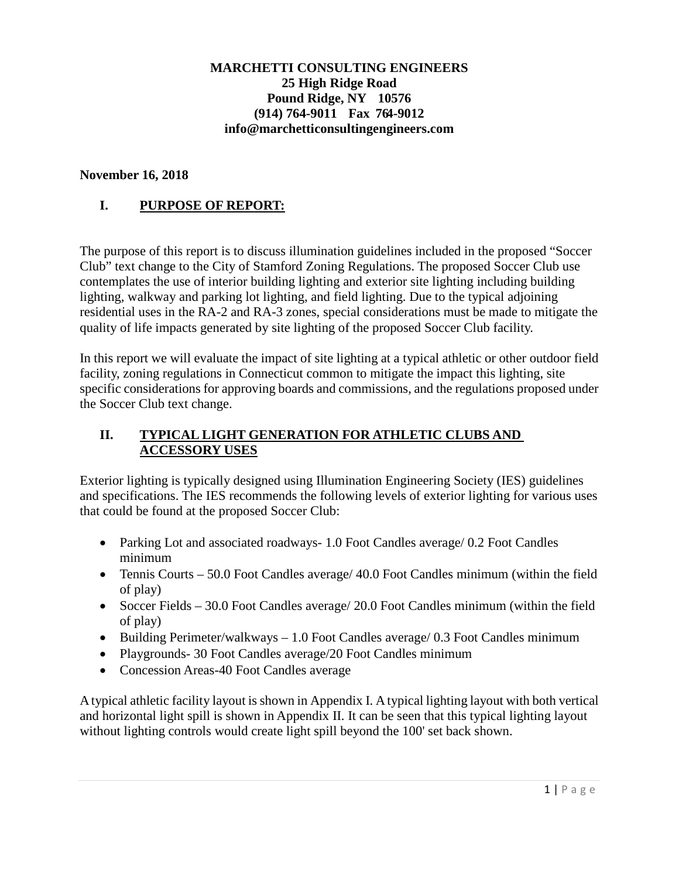#### **MARCHETTI CONSULTING ENGINEERS 25 High Ridge Road Pound Ridge, NY 10576 (914) 764-9011 Fax 764-9012 info@marchetticonsultingengineers.com**

#### **November 16, 2018**

### **I. PURPOSE OF REPORT:**

The purpose of this report is to discuss illumination guidelines included in the proposed "Soccer Club" text change to the City of Stamford Zoning Regulations. The proposed Soccer Club use contemplates the use of interior building lighting and exterior site lighting including building lighting, walkway and parking lot lighting, and field lighting. Due to the typical adjoining residential uses in the RA-2 and RA-3 zones, special considerations must be made to mitigate the quality of life impacts generated by site lighting of the proposed Soccer Club facility.

In this report we will evaluate the impact of site lighting at a typical athletic or other outdoor field facility, zoning regulations in Connecticut common to mitigate the impact this lighting, site specific considerations for approving boards and commissions, and the regulations proposed under the Soccer Club text change.

#### **II. TYPICAL LIGHT GENERATION FOR ATHLETIC CLUBS AND ACCESSORY USES**

Exterior lighting is typically designed using Illumination Engineering Society (IES) guidelines and specifications. The IES recommends the following levels of exterior lighting for various uses that could be found at the proposed Soccer Club:

- Parking Lot and associated roadways- 1.0 Foot Candles average/ 0.2 Foot Candles minimum
- Tennis Courts 50.0 Foot Candles average/ 40.0 Foot Candles minimum (within the field of play)
- Soccer Fields 30.0 Foot Candles average/ 20.0 Foot Candles minimum (within the field of play)
- Building Perimeter/walkways 1.0 Foot Candles average/ 0.3 Foot Candles minimum
- Playgrounds- 30 Foot Candles average/20 Foot Candles minimum
- Concession Areas-40 Foot Candles average

A typical athletic facility layout is shown in Appendix I. A typical lighting layout with both vertical and horizontal light spill is shown in Appendix II. It can be seen that this typical lighting layout without lighting controls would create light spill beyond the 100' set back shown.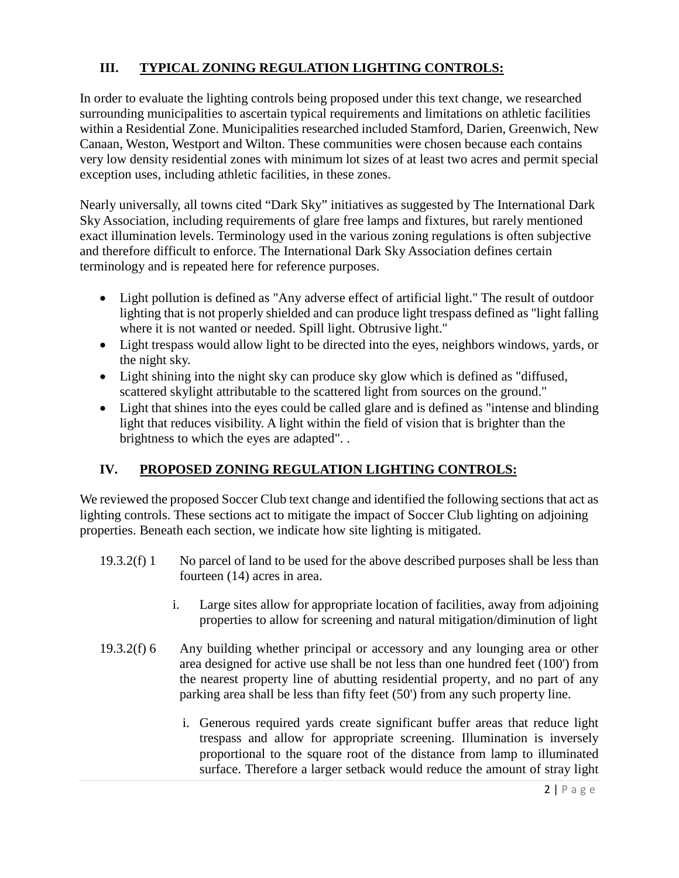## **III. TYPICAL ZONING REGULATION LIGHTING CONTROLS:**

In order to evaluate the lighting controls being proposed under this text change, we researched surrounding municipalities to ascertain typical requirements and limitations on athletic facilities within a Residential Zone. Municipalities researched included Stamford, Darien, Greenwich, New Canaan, Weston, Westport and Wilton. These communities were chosen because each contains very low density residential zones with minimum lot sizes of at least two acres and permit special exception uses, including athletic facilities, in these zones.

Nearly universally, all towns cited "Dark Sky" initiatives as suggested by The International Dark Sky Association, including requirements of glare free lamps and fixtures, but rarely mentioned exact illumination levels. Terminology used in the various zoning regulations is often subjective and therefore difficult to enforce. The International Dark Sky Association defines certain terminology and is repeated here for reference purposes.

- Light pollution is defined as "Any adverse effect of artificial light." The result of outdoor lighting that is not properly shielded and can produce light trespass defined as "light falling where it is not wanted or needed. Spill light. Obtrusive light."
- Light trespass would allow light to be directed into the eyes, neighbors windows, yards, or the night sky.
- Light shining into the night sky can produce sky glow which is defined as "diffused, scattered skylight attributable to the scattered light from sources on the ground."
- Light that shines into the eyes could be called glare and is defined as "intense and blinding" light that reduces visibility. A light within the field of vision that is brighter than the brightness to which the eyes are adapted". .

# **IV. PROPOSED ZONING REGULATION LIGHTING CONTROLS:**

We reviewed the proposed Soccer Club text change and identified the following sections that act as lighting controls. These sections act to mitigate the impact of Soccer Club lighting on adjoining properties. Beneath each section, we indicate how site lighting is mitigated.

- 19.3.2(f) 1 No parcel of land to be used for the above described purposes shall be less than fourteen (14) acres in area.
	- i. Large sites allow for appropriate location of facilities, away from adjoining properties to allow for screening and natural mitigation/diminution of light
- 19.3.2(f) 6 Any building whether principal or accessory and any lounging area or other area designed for active use shall be not less than one hundred feet (100') from the nearest property line of abutting residential property, and no part of any parking area shall be less than fifty feet (50') from any such property line.
	- i. Generous required yards create significant buffer areas that reduce light trespass and allow for appropriate screening. Illumination is inversely proportional to the square root of the distance from lamp to illuminated surface. Therefore a larger setback would reduce the amount of stray light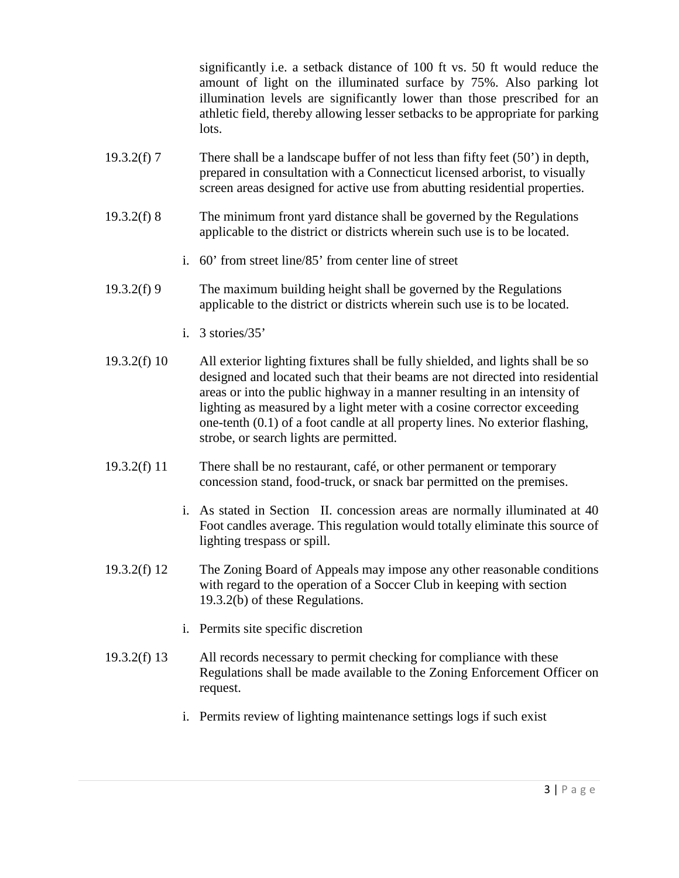significantly i.e. a setback distance of 100 ft vs. 50 ft would reduce the amount of light on the illuminated surface by 75%. Also parking lot illumination levels are significantly lower than those prescribed for an athletic field, thereby allowing lesser setbacks to be appropriate for parking lots.

- 19.3.2(f) 7 There shall be a landscape buffer of not less than fifty feet (50') in depth, prepared in consultation with a Connecticut licensed arborist, to visually screen areas designed for active use from abutting residential properties.
- 19.3.2(f) 8 The minimum front yard distance shall be governed by the Regulations applicable to the district or districts wherein such use is to be located.
	- i. 60' from street line/85' from center line of street
- 19.3.2(f) 9 The maximum building height shall be governed by the Regulations applicable to the district or districts wherein such use is to be located.
	- i. 3 stories/35'
- 19.3.2(f) 10 All exterior lighting fixtures shall be fully shielded, and lights shall be so designed and located such that their beams are not directed into residential areas or into the public highway in a manner resulting in an intensity of lighting as measured by a light meter with a cosine corrector exceeding one-tenth (0.1) of a foot candle at all property lines. No exterior flashing, strobe, or search lights are permitted.
- 19.3.2(f) 11 There shall be no restaurant, café, or other permanent or temporary concession stand, food-truck, or snack bar permitted on the premises.
	- i. As stated in Section II. concession areas are normally illuminated at 40 Foot candles average. This regulation would totally eliminate this source of lighting trespass or spill.
- 19.3.2(f) 12 The Zoning Board of Appeals may impose any other reasonable conditions with regard to the operation of a Soccer Club in keeping with section 19.3.2(b) of these Regulations.
	- i. Permits site specific discretion
- 19.3.2(f) 13 All records necessary to permit checking for compliance with these Regulations shall be made available to the Zoning Enforcement Officer on request.
	- i. Permits review of lighting maintenance settings logs if such exist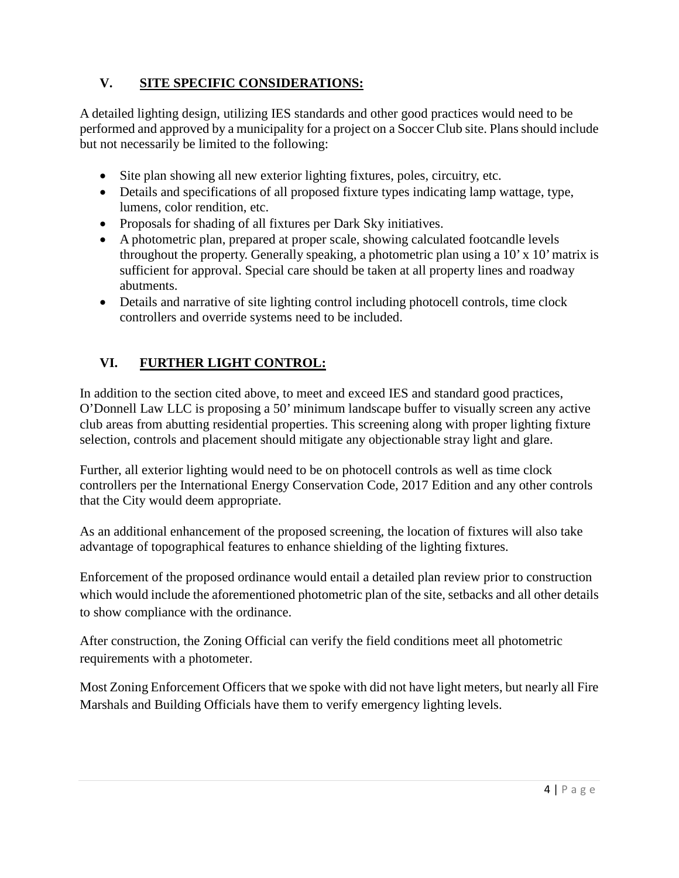# **V. SITE SPECIFIC CONSIDERATIONS:**

A detailed lighting design, utilizing IES standards and other good practices would need to be performed and approved by a municipality for a project on a Soccer Club site. Plans should include but not necessarily be limited to the following:

- Site plan showing all new exterior lighting fixtures, poles, circuitry, etc.
- Details and specifications of all proposed fixture types indicating lamp wattage, type, lumens, color rendition, etc.
- Proposals for shading of all fixtures per Dark Sky initiatives.
- A photometric plan, prepared at proper scale, showing calculated footcandle levels throughout the property. Generally speaking, a photometric plan using a 10' x 10' matrix is sufficient for approval. Special care should be taken at all property lines and roadway abutments.
- Details and narrative of site lighting control including photocell controls, time clock controllers and override systems need to be included.

# **VI. FURTHER LIGHT CONTROL:**

In addition to the section cited above, to meet and exceed IES and standard good practices, O'Donnell Law LLC is proposing a 50' minimum landscape buffer to visually screen any active club areas from abutting residential properties. This screening along with proper lighting fixture selection, controls and placement should mitigate any objectionable stray light and glare.

Further, all exterior lighting would need to be on photocell controls as well as time clock controllers per the International Energy Conservation Code, 2017 Edition and any other controls that the City would deem appropriate.

As an additional enhancement of the proposed screening, the location of fixtures will also take advantage of topographical features to enhance shielding of the lighting fixtures.

Enforcement of the proposed ordinance would entail a detailed plan review prior to construction which would include the aforementioned photometric plan of the site, setbacks and all other details to show compliance with the ordinance.

After construction, the Zoning Official can verify the field conditions meet all photometric requirements with a photometer.

Most Zoning Enforcement Officers that we spoke with did not have light meters, but nearly all Fire Marshals and Building Officials have them to verify emergency lighting levels.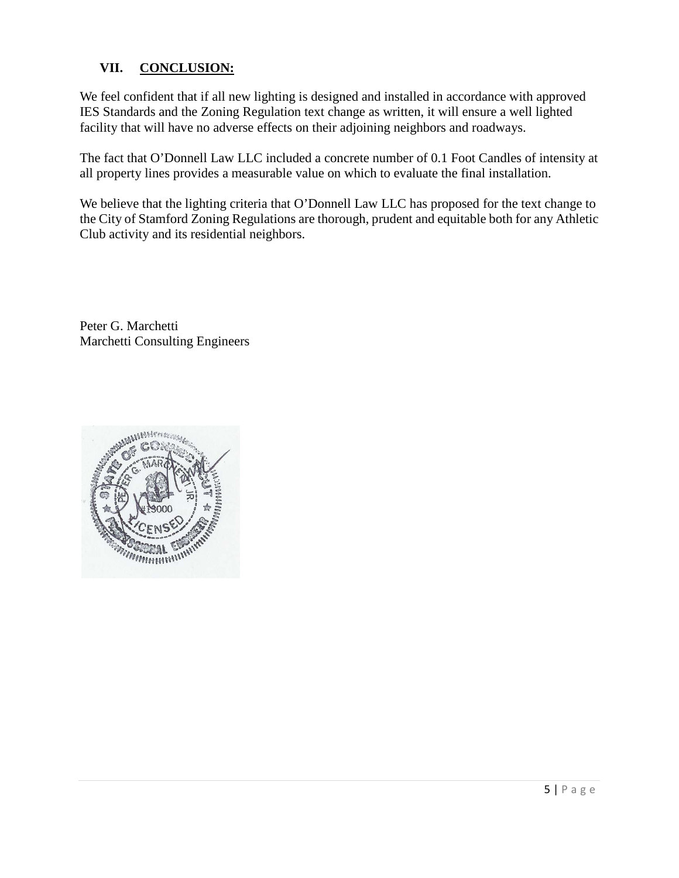### **VII. CONCLUSION:**

We feel confident that if all new lighting is designed and installed in accordance with approved IES Standards and the Zoning Regulation text change as written, it will ensure a well lighted facility that will have no adverse effects on their adjoining neighbors and roadways.

The fact that O'Donnell Law LLC included a concrete number of 0.1 Foot Candles of intensity at all property lines provides a measurable value on which to evaluate the final installation.

We believe that the lighting criteria that O'Donnell Law LLC has proposed for the text change to the City of Stamford Zoning Regulations are thorough, prudent and equitable both for any Athletic Club activity and its residential neighbors.

Peter G. Marchetti Marchetti Consulting Engineers

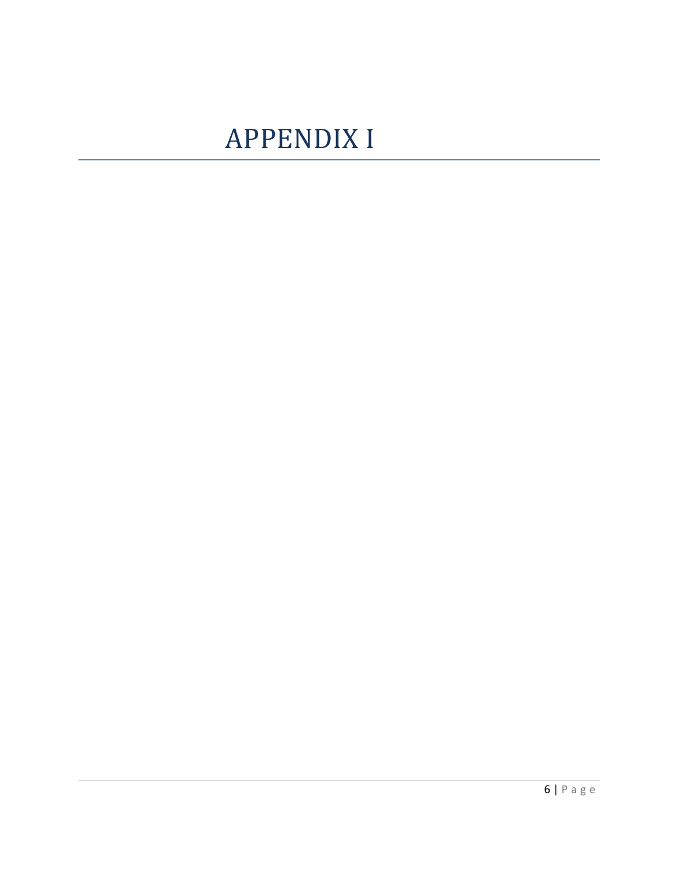# **APPENDIX I**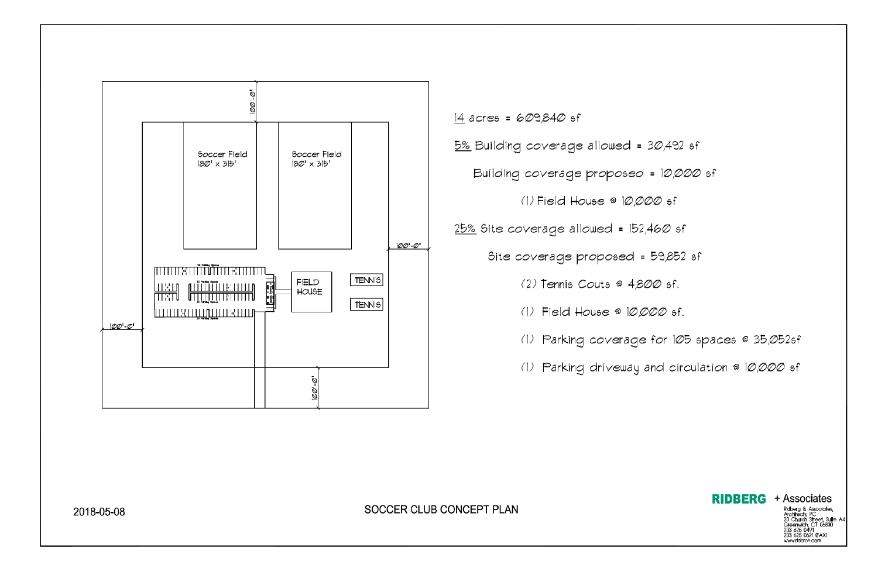



SOCCER CLUB CONCEPT PLAN

2018-05-08

(1) Parking coverage for 105 spaces @ 35,052sf

(1) Parking driveway and circulation @ 10,000 sf

# **RIDBERG** + Associates

Ridberg & Associates,<br>Ridberg & Associates,<br>20 Church Street, Suite A4<br>Greenwich, CT 06830<br>203 625 0491<br>203 625 0621 (FAX)<br>203 625 0621 (FAX) www.ridarch.com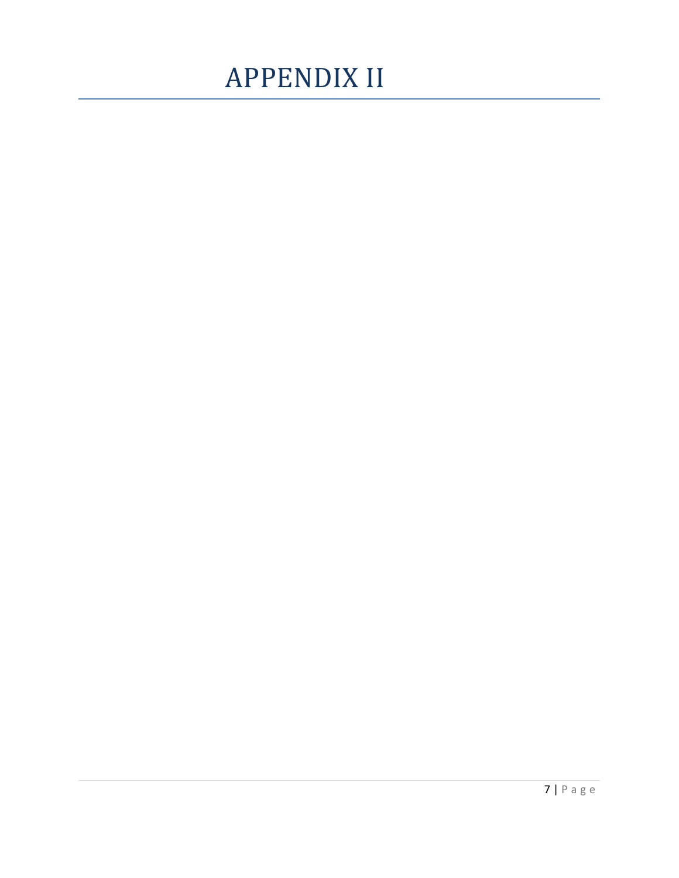# APPENDIX II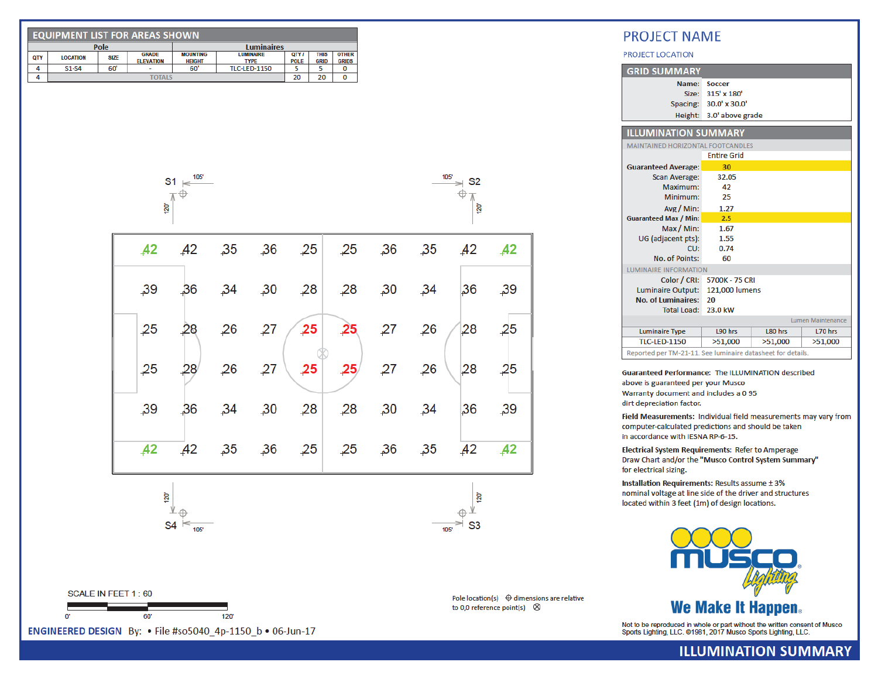| <b>EQUIPMENT LIST FOR AREAS SHOWN</b> |                 |             |                                  |                                  |                                 |                      |                            |                              |  |  |
|---------------------------------------|-----------------|-------------|----------------------------------|----------------------------------|---------------------------------|----------------------|----------------------------|------------------------------|--|--|
|                                       | Pole            |             |                                  |                                  | <b>Luminaires</b>               |                      |                            |                              |  |  |
| <b>QTY</b>                            | <b>LOCATION</b> | <b>SIZE</b> | <b>GRADE</b><br><b>ELEVATION</b> | <b>MOUNTING</b><br><b>HEIGHT</b> | <b>LUMINAIRE</b><br><b>TYPE</b> | QTY /<br><b>POLE</b> | <b>THIS</b><br><b>GRID</b> | <b>OTHER</b><br><b>GRIDS</b> |  |  |
|                                       | $S1-S4$         | 60'         | -                                | 60'                              | <b>TLC-LED-1150</b>             |                      |                            |                              |  |  |
|                                       | <b>TOTALS</b>   |             |                                  |                                  |                                 | 20                   | 20                         |                              |  |  |



| 42  | 42 | $\overline{35}$ |                  | $25$ , $25$ | $\overline{25}$ | $\overline{.}36$ | 35              | $A2 \overline{A2}$ |    |
|-----|----|-----------------|------------------|-------------|-----------------|------------------|-----------------|--------------------|----|
| 39  | 36 | 34              | 30               | 28          | 28              | 30               | $-34$           | 36                 | 39 |
| 25  | 28 | 26              | 27               | $25$        | 25              | 27               | $\overline{26}$ | 28                 | 25 |
| 25  | 28 | 26              | 27               | 25          | 25              | 27               | 26              | 28                 | 25 |
| 39  | 36 | 34              | 30               | 28          | 28              | 30               | $-34$           | 36                 | 39 |
| 42  | A2 | 35              | $\overline{.}36$ | 25          | 25              | 36               | $\overline{35}$ | 42                 | 42 |
| 120 |    |                 |                  |             |                 |                  |                 | 120<br>            |    |

105

 $\Rightarrow$  S<sub>2</sub>

 $\bigoplus$   $\pi$ 

 $\approx$  S3

Pole location(s)  $\oplus$  dimensions are relative

to 0,0 reference point(s)  $\otimes$ 

105

 $120^{\circ}$ 

| SCALE IN FEET 1:60 |  |
|--------------------|--|
|                    |  |
|                    |  |

ENGINEERED DESIGN By: • File #so5040 4p-1150 b • 06-Jun-17

 $s4 \leq$ 

105'

 $120'$ 

**PROJECT NAME** 

PROJECT LOCATION

| <b>GRID SUMMARY</b>                                        |                              |         |                          |  |  |  |  |
|------------------------------------------------------------|------------------------------|---------|--------------------------|--|--|--|--|
| Name:                                                      | <b>Soccer</b>                |         |                          |  |  |  |  |
| Size:                                                      | 315' x 180'                  |         |                          |  |  |  |  |
| Spacing:                                                   | $30.0'$ x $30.0'$            |         |                          |  |  |  |  |
|                                                            | Height: 3.0' above grade     |         |                          |  |  |  |  |
|                                                            |                              |         |                          |  |  |  |  |
| <b>ILLUMINATION SUMMARY</b>                                |                              |         |                          |  |  |  |  |
| MAINTAINED HORIZONTAL FOOTCANDLES                          |                              |         |                          |  |  |  |  |
|                                                            | <b>Entire Grid</b>           |         |                          |  |  |  |  |
| <b>Guaranteed Average:</b>                                 | 30                           |         |                          |  |  |  |  |
| <b>Scan Average:</b>                                       | 32.05                        |         |                          |  |  |  |  |
| Maximum:                                                   | 42                           |         |                          |  |  |  |  |
| Minimum:                                                   | 25                           |         |                          |  |  |  |  |
| Avg / Min:                                                 | 1.27                         |         |                          |  |  |  |  |
| <b>Guaranteed Max / Min:</b>                               | 2.5                          |         |                          |  |  |  |  |
| Max / Min:                                                 | 1.67                         |         |                          |  |  |  |  |
| UG (adjacent pts):                                         | 1.55                         |         |                          |  |  |  |  |
| CU:                                                        | 0.74                         |         |                          |  |  |  |  |
| No. of Points:                                             | 60                           |         |                          |  |  |  |  |
|                                                            | <b>LUMINAIRE INFORMATION</b> |         |                          |  |  |  |  |
| Color / CRI:                                               | 5700K - 75 CRI               |         |                          |  |  |  |  |
| Luminaire Output:                                          | 121,000 lumens               |         |                          |  |  |  |  |
| No. of Luminaires:                                         | 20                           |         |                          |  |  |  |  |
| <b>Total Load:</b>                                         | 23.0 kW                      |         |                          |  |  |  |  |
|                                                            |                              |         | <b>Lumen Maintenance</b> |  |  |  |  |
| <b>Luminaire Type</b>                                      | L90 hrs                      | L80 hrs | L70 hrs                  |  |  |  |  |
| <b>TLC-LED-1150</b>                                        | >51,000                      | >51,000 | >51,000                  |  |  |  |  |
| Reported per TM-21-11, See luminaire datasheet for details |                              |         |                          |  |  |  |  |

Guaranteed Performance: The ILLUMINATION described above is guaranteed per your Musco Warranty document and includes a 0 95 dirt depreciation factor.

Field Measurements: Individual field measurements may vary from computer-calculated predictions and should be taken in accordance with IESNA RP-6-15.

**Electrical System Requirements: Refer to Amperage** Draw Chart and/or the "Musco Control System Summary" for electrical sizing.

Installation Requirements: Results assume ± 3% nominal voltage at line side of the driver and structures located within 3 feet (1m) of design locations.



Not to be reproduced in whole or part without the written consent of Musco<br>Sports Lighting, LLC. @1981, 2017 Musco Sports Lighting, LLC.

### **ILLUMINATION SUMMARY**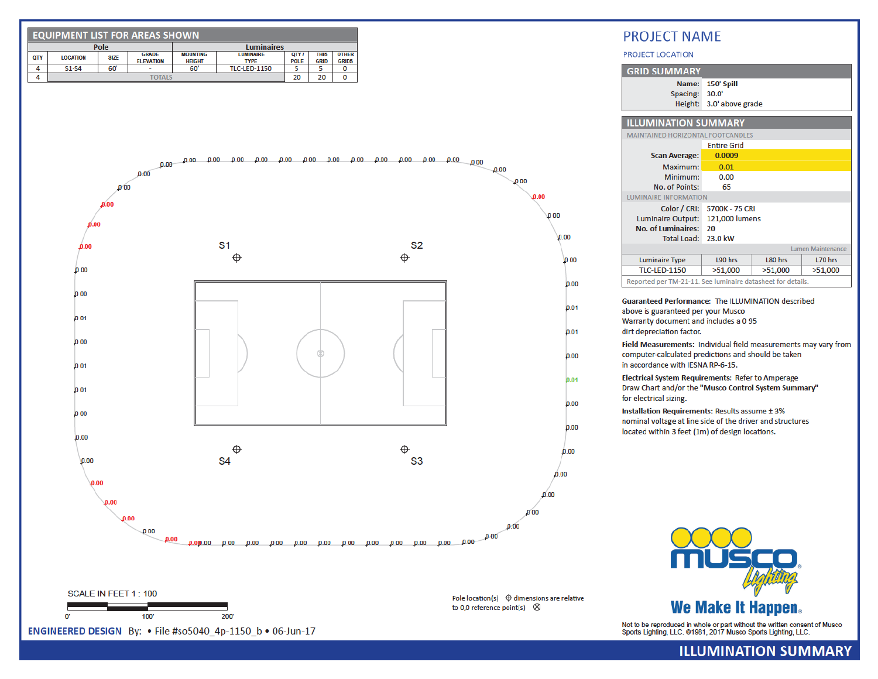

**ILLUMINATION SUMMARY**